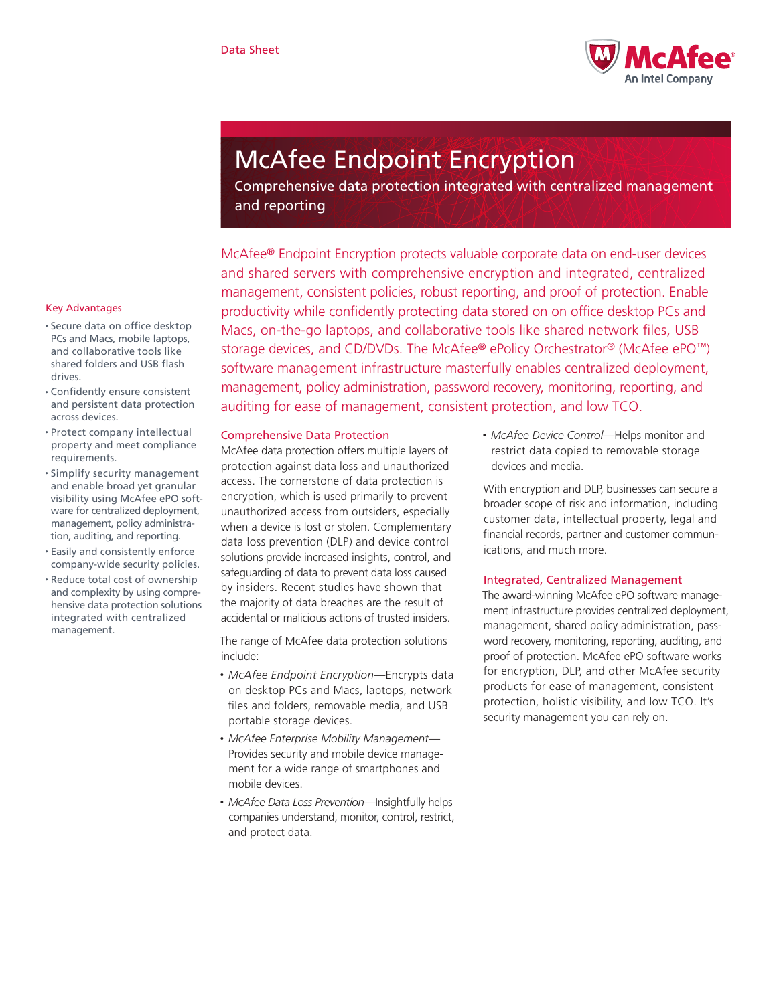

# McAfee Endpoint Encryption

Comprehensive data protection integrated with centralized management and reporting

McAfee® Endpoint Encryption protects valuable corporate data on end-user devices and shared servers with comprehensive encryption and integrated, centralized management, consistent policies, robust reporting, and proof of protection. Enable productivity while confidently protecting data stored on on office desktop PCs and Macs, on-the-go laptops, and collaborative tools like shared network files, USB storage devices, and CD/DVDs. The McAfee® ePolicy Orchestrator® (McAfee ePO™) software management infrastructure masterfully enables centralized deployment, management, policy administration, password recovery, monitoring, reporting, and auditing for ease of management, consistent protection, and low TCO.

## Comprehensive Data Protection

McAfee data protection offers multiple layers of protection against data loss and unauthorized access. The cornerstone of data protection is encryption, which is used primarily to prevent unauthorized access from outsiders, especially when a device is lost or stolen. Complementary data loss prevention (DLP) and device control solutions provide increased insights, control, and safeguarding of data to prevent data loss caused by insiders. Recent studies have shown that the majority of data breaches are the result of accidental or malicious actions of trusted insiders.

The range of McAfee data protection solutions include:

- • *McAfee Endpoint Encryption—*Encrypts data on desktop PCs and Macs, laptops, network files and folders, removable media, and USB portable storage devices.
- • *McAfee Enterprise Mobility Management—* Provides security and mobile device management for a wide range of smartphones and mobile devices.
- • *McAfee Data Loss Prevention—*Insightfully helps companies understand, monitor, control, restrict, and protect data.

• *McAfee Device Control—*Helps monitor and restrict data copied to removable storage devices and media.

With encryption and DLP, businesses can secure a broader scope of risk and information, including customer data, intellectual property, legal and financial records, partner and customer communications, and much more.

## Integrated, Centralized Management

The award-winning McAfee ePO software management infrastructure provides centralized deployment, management, shared policy administration, password recovery, monitoring, reporting, auditing, and proof of protection. McAfee ePO software works for encryption, DLP, and other McAfee security products for ease of management, consistent protection, holistic visibility, and low TCO. It's security management you can rely on.

# Key Advantages

- • Secure data on office desktop PCs and Macs, mobile laptops, and collaborative tools like shared folders and USB flash drives.
- • Confidently ensure consistent and persistent data protection across devices.
- • Protect company intellectual property and meet compliance requirements.
- • Simplify security management and enable broad yet granular visibility using McAfee ePO software for centralized deployment, management, policy administration, auditing, and reporting.
- • Easily and consistently enforce company-wide security policies.
- • Reduce total cost of ownership and complexity by using comprehensive data protection solutions integrated with centralized management.